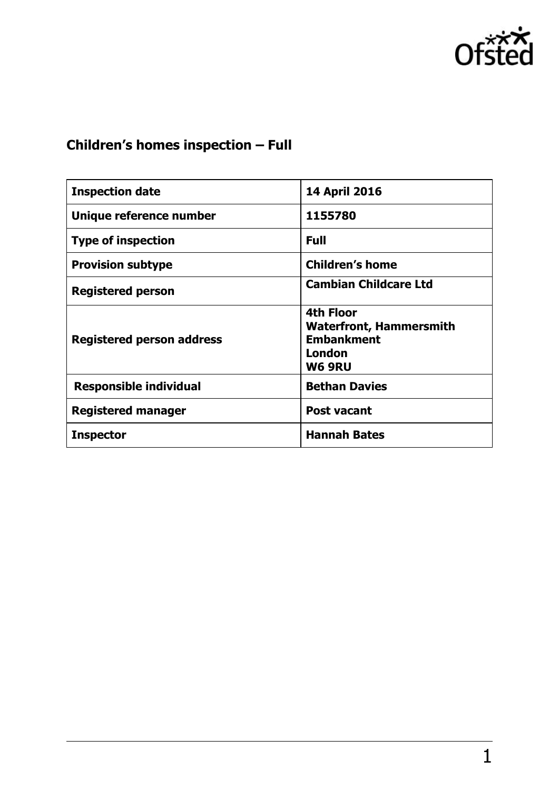

# **Children's homes inspection – Full**

| <b>Inspection date</b>           | <b>14 April 2016</b>                                                                        |
|----------------------------------|---------------------------------------------------------------------------------------------|
| Unique reference number          | 1155780                                                                                     |
| <b>Type of inspection</b>        | <b>Full</b>                                                                                 |
| <b>Provision subtype</b>         | <b>Children's home</b>                                                                      |
| <b>Registered person</b>         | <b>Cambian Childcare Ltd</b>                                                                |
| <b>Registered person address</b> | <b>4th Floor</b><br><b>Waterfront, Hammersmith</b><br><b>Embankment</b><br>London<br>W6 9RU |
| <b>Responsible individual</b>    | <b>Bethan Davies</b>                                                                        |
| <b>Registered manager</b>        | <b>Post vacant</b>                                                                          |
| <b>Inspector</b>                 | <b>Hannah Bates</b>                                                                         |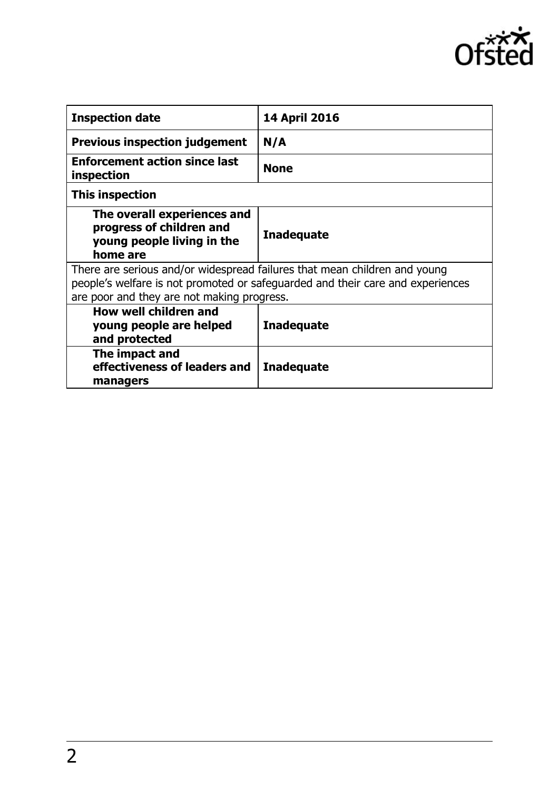

| <b>Inspection date</b>                                                                                                                                                                                    | 14 April 2016     |
|-----------------------------------------------------------------------------------------------------------------------------------------------------------------------------------------------------------|-------------------|
| <b>Previous inspection judgement</b>                                                                                                                                                                      | N/A               |
| <b>Enforcement action since last</b><br>inspection                                                                                                                                                        | <b>None</b>       |
| This inspection                                                                                                                                                                                           |                   |
| The overall experiences and<br>progress of children and<br>young people living in the<br>home are                                                                                                         | <b>Inadequate</b> |
| There are serious and/or widespread failures that mean children and young<br>people's welfare is not promoted or safeguarded and their care and experiences<br>are poor and they are not making progress. |                   |
| <b>How well children and</b><br>young people are helped<br>and protected                                                                                                                                  | <b>Inadequate</b> |
| The impact and<br>effectiveness of leaders and<br>managers                                                                                                                                                | <b>Inadequate</b> |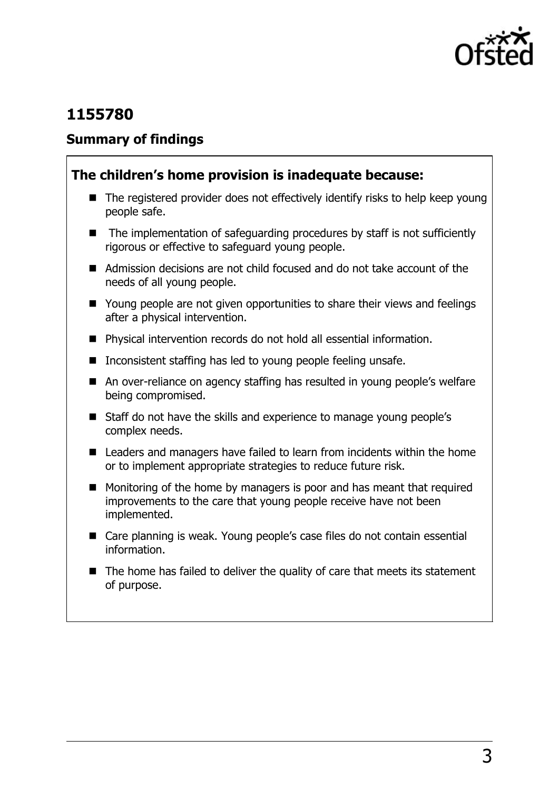

# **1155780**

#### **Summary of findings**

#### **The children's home provision is inadequate because:**

- $\blacksquare$  The registered provider does not effectively identify risks to help keep young people safe.
- The implementation of safeguarding procedures by staff is not sufficiently rigorous or effective to safeguard young people.
- Admission decisions are not child focused and do not take account of the needs of all young people.
- Young people are not given opportunities to share their views and feelings after a physical intervention.
- Physical intervention records do not hold all essential information.
- Inconsistent staffing has led to young people feeling unsafe.
- An over-reliance on agency staffing has resulted in young people's welfare being compromised.
- Staff do not have the skills and experience to manage young people's complex needs.
- Leaders and managers have failed to learn from incidents within the home or to implement appropriate strategies to reduce future risk.
- **Monitoring of the home by managers is poor and has meant that required** improvements to the care that young people receive have not been implemented.
- Care planning is weak. Young people's case files do not contain essential information.
- $\blacksquare$  The home has failed to deliver the quality of care that meets its statement of purpose.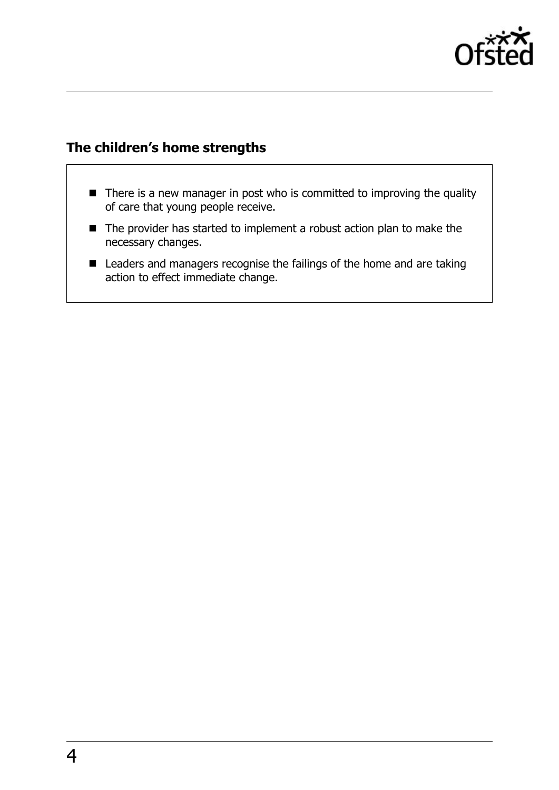

### **The children's home strengths**

- There is a new manager in post who is committed to improving the quality of care that young people receive.
- The provider has started to implement a robust action plan to make the necessary changes.
- Leaders and managers recognise the failings of the home and are taking action to effect immediate change.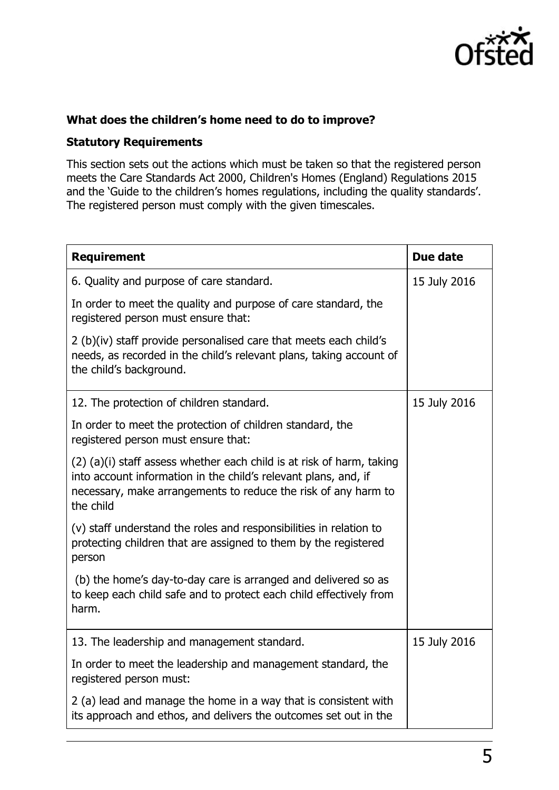

#### **What does the children's home need to do to improve?**

#### **Statutory Requirements**

This section sets out the actions which must be taken so that the registered person meets the Care Standards Act 2000, Children's Homes (England) Regulations 2015 and the 'Guide to the children's homes regulations, including the quality standards'. The registered person must comply with the given timescales.

| <b>Requirement</b>                                                                                                                                                                                                      | Due date     |
|-------------------------------------------------------------------------------------------------------------------------------------------------------------------------------------------------------------------------|--------------|
| 6. Quality and purpose of care standard.                                                                                                                                                                                | 15 July 2016 |
| In order to meet the quality and purpose of care standard, the<br>registered person must ensure that:                                                                                                                   |              |
| 2 (b)(iv) staff provide personalised care that meets each child's<br>needs, as recorded in the child's relevant plans, taking account of<br>the child's background.                                                     |              |
| 12. The protection of children standard.                                                                                                                                                                                | 15 July 2016 |
| In order to meet the protection of children standard, the<br>registered person must ensure that:                                                                                                                        |              |
| (2) (a)(i) staff assess whether each child is at risk of harm, taking<br>into account information in the child's relevant plans, and, if<br>necessary, make arrangements to reduce the risk of any harm to<br>the child |              |
| (v) staff understand the roles and responsibilities in relation to<br>protecting children that are assigned to them by the registered<br>person                                                                         |              |
| (b) the home's day-to-day care is arranged and delivered so as<br>to keep each child safe and to protect each child effectively from<br>harm.                                                                           |              |
| 13. The leadership and management standard.                                                                                                                                                                             | 15 July 2016 |
| In order to meet the leadership and management standard, the<br>registered person must:                                                                                                                                 |              |
| 2 (a) lead and manage the home in a way that is consistent with<br>its approach and ethos, and delivers the outcomes set out in the                                                                                     |              |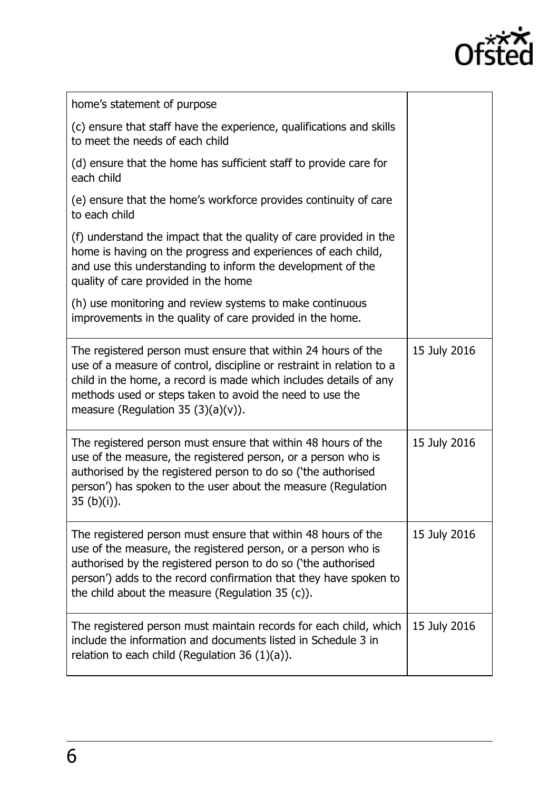

 $\overline{\phantom{0}}$ 

| home's statement of purpose                                                                                                                                                                                                                                                                                                |              |
|----------------------------------------------------------------------------------------------------------------------------------------------------------------------------------------------------------------------------------------------------------------------------------------------------------------------------|--------------|
| (c) ensure that staff have the experience, qualifications and skills<br>to meet the needs of each child                                                                                                                                                                                                                    |              |
| (d) ensure that the home has sufficient staff to provide care for<br>each child                                                                                                                                                                                                                                            |              |
| (e) ensure that the home's workforce provides continuity of care<br>to each child                                                                                                                                                                                                                                          |              |
| (f) understand the impact that the quality of care provided in the<br>home is having on the progress and experiences of each child,<br>and use this understanding to inform the development of the<br>quality of care provided in the home                                                                                 |              |
| (h) use monitoring and review systems to make continuous<br>improvements in the quality of care provided in the home.                                                                                                                                                                                                      |              |
| The registered person must ensure that within 24 hours of the<br>use of a measure of control, discipline or restraint in relation to a<br>child in the home, a record is made which includes details of any<br>methods used or steps taken to avoid the need to use the<br>measure (Regulation 35 $(3)(a)(v)$ ).           | 15 July 2016 |
| The registered person must ensure that within 48 hours of the<br>use of the measure, the registered person, or a person who is<br>authorised by the registered person to do so ('the authorised<br>person') has spoken to the user about the measure (Regulation<br>$35 (b)(i)$ ).                                         | 15 July 2016 |
| The registered person must ensure that within 48 hours of the<br>use of the measure, the registered person, or a person who is<br>authorised by the registered person to do so ('the authorised<br>person') adds to the record confirmation that they have spoken to<br>the child about the measure (Regulation $35(c)$ ). | 15 July 2016 |
| The registered person must maintain records for each child, which<br>include the information and documents listed in Schedule 3 in<br>relation to each child (Regulation 36 $(1)(a)$ ).                                                                                                                                    | 15 July 2016 |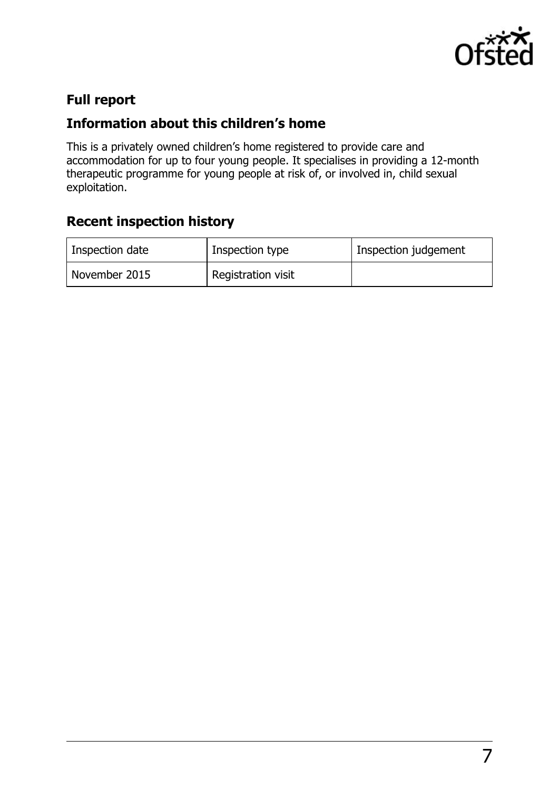

# **Full report**

# **Information about this children's home**

This is a privately owned children's home registered to provide care and accommodation for up to four young people. It specialises in providing a 12-month therapeutic programme for young people at risk of, or involved in, child sexual exploitation.

# **Recent inspection history**

| Inspection date | Inspection type    | Inspection judgement |
|-----------------|--------------------|----------------------|
| November 2015   | Registration visit |                      |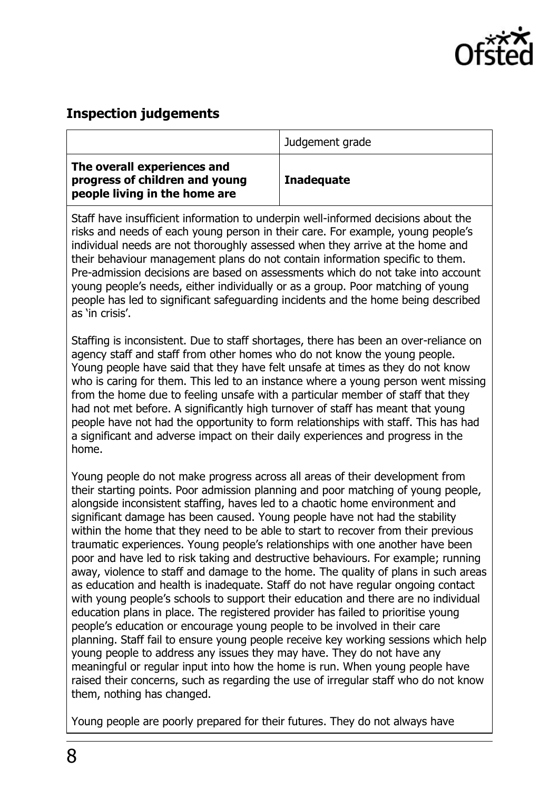

#### **Inspection judgements**

|                                                                                                                                                                                                                                                       | Judgement grade   |
|-------------------------------------------------------------------------------------------------------------------------------------------------------------------------------------------------------------------------------------------------------|-------------------|
| The overall experiences and<br>progress of children and young<br>people living in the home are                                                                                                                                                        | <b>Inadequate</b> |
| Staff have insufficient information to underpin well-informed decisions about the<br>risks and needs of each young person in their care. For example, young people's<br>individual needs are not thoroughly assessed when they arrive at the home and |                   |

their behaviour management plans do not contain information specific to them. Pre-admission decisions are based on assessments which do not take into account young people's needs, either individually or as a group. Poor matching of young people has led to significant safeguarding incidents and the home being described as 'in crisis'.

Staffing is inconsistent. Due to staff shortages, there has been an over-reliance on agency staff and staff from other homes who do not know the young people. Young people have said that they have felt unsafe at times as they do not know who is caring for them. This led to an instance where a young person went missing from the home due to feeling unsafe with a particular member of staff that they had not met before. A significantly high turnover of staff has meant that young people have not had the opportunity to form relationships with staff. This has had a significant and adverse impact on their daily experiences and progress in the home.

Young people do not make progress across all areas of their development from their starting points. Poor admission planning and poor matching of young people, alongside inconsistent staffing, haves led to a chaotic home environment and significant damage has been caused. Young people have not had the stability within the home that they need to be able to start to recover from their previous traumatic experiences. Young people's relationships with one another have been poor and have led to risk taking and destructive behaviours. For example; running away, violence to staff and damage to the home. The quality of plans in such areas as education and health is inadequate. Staff do not have regular ongoing contact with young people's schools to support their education and there are no individual education plans in place. The registered provider has failed to prioritise young people's education or encourage young people to be involved in their care planning. Staff fail to ensure young people receive key working sessions which help young people to address any issues they may have. They do not have any meaningful or regular input into how the home is run. When young people have raised their concerns, such as regarding the use of irregular staff who do not know them, nothing has changed.

Young people are poorly prepared for their futures. They do not always have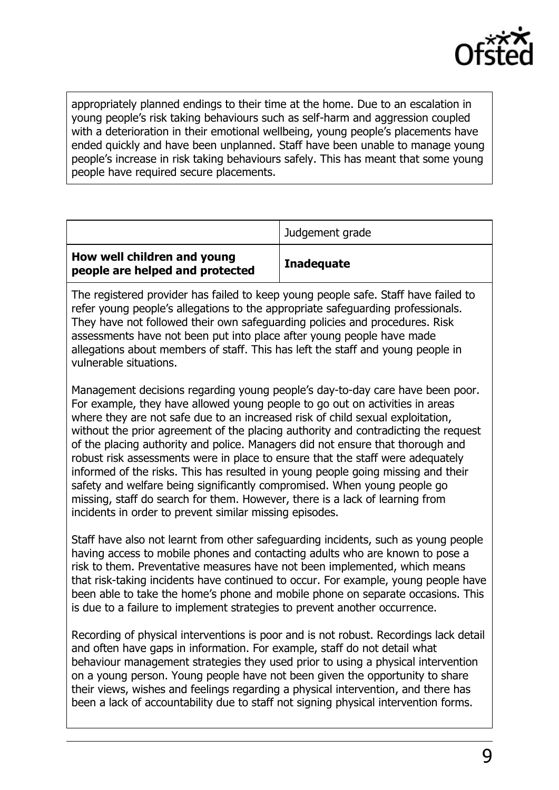

appropriately planned endings to their time at the home. Due to an escalation in young people's risk taking behaviours such as self-harm and aggression coupled with a deterioration in their emotional wellbeing, young people's placements have ended quickly and have been unplanned. Staff have been unable to manage young people's increase in risk taking behaviours safely. This has meant that some young people have required secure placements.

| How well children and young     | Judgement grade<br><b>Inadequate</b> |
|---------------------------------|--------------------------------------|
| people are helped and protected |                                      |

The registered provider has failed to keep young people safe. Staff have failed to refer young people's allegations to the appropriate safeguarding professionals. They have not followed their own safeguarding policies and procedures. Risk assessments have not been put into place after young people have made allegations about members of staff. This has left the staff and young people in vulnerable situations.

Management decisions regarding young people's day-to-day care have been poor. For example, they have allowed young people to go out on activities in areas where they are not safe due to an increased risk of child sexual exploitation, without the prior agreement of the placing authority and contradicting the request of the placing authority and police. Managers did not ensure that thorough and robust risk assessments were in place to ensure that the staff were adequately informed of the risks. This has resulted in young people going missing and their safety and welfare being significantly compromised. When young people go missing, staff do search for them. However, there is a lack of learning from incidents in order to prevent similar missing episodes.

Staff have also not learnt from other safeguarding incidents, such as young people having access to mobile phones and contacting adults who are known to pose a risk to them. Preventative measures have not been implemented, which means that risk-taking incidents have continued to occur. For example, young people have been able to take the home's phone and mobile phone on separate occasions. This is due to a failure to implement strategies to prevent another occurrence.

Recording of physical interventions is poor and is not robust. Recordings lack detail and often have gaps in information. For example, staff do not detail what behaviour management strategies they used prior to using a physical intervention on a young person. Young people have not been given the opportunity to share their views, wishes and feelings regarding a physical intervention, and there has been a lack of accountability due to staff not signing physical intervention forms.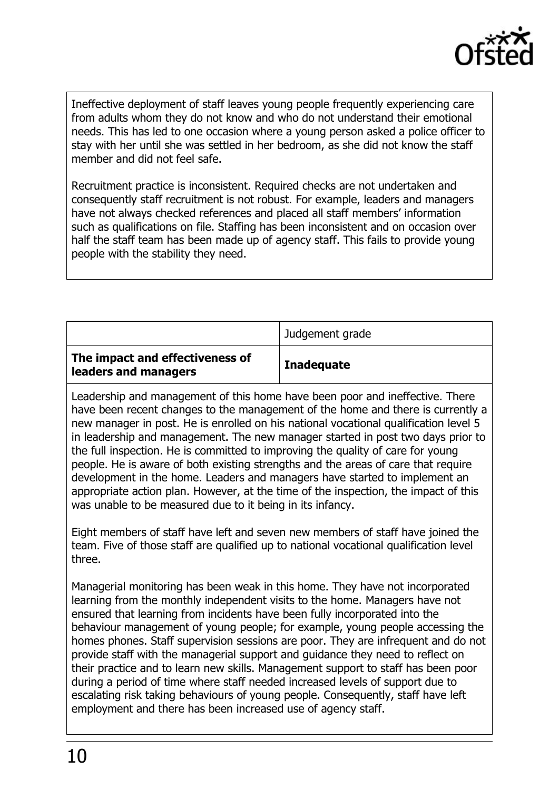

Ineffective deployment of staff leaves young people frequently experiencing care from adults whom they do not know and who do not understand their emotional needs. This has led to one occasion where a young person asked a police officer to stay with her until she was settled in her bedroom, as she did not know the staff member and did not feel safe.

Recruitment practice is inconsistent. Required checks are not undertaken and consequently staff recruitment is not robust. For example, leaders and managers have not always checked references and placed all staff members' information such as qualifications on file. Staffing has been inconsistent and on occasion over half the staff team has been made up of agency staff. This fails to provide young people with the stability they need.

|                                                         | Judgement grade   |
|---------------------------------------------------------|-------------------|
| The impact and effectiveness of<br>leaders and managers | <b>Inadequate</b> |

Leadership and management of this home have been poor and ineffective. There have been recent changes to the management of the home and there is currently a new manager in post. He is enrolled on his national vocational qualification level 5 in leadership and management. The new manager started in post two days prior to the full inspection. He is committed to improving the quality of care for young people. He is aware of both existing strengths and the areas of care that require development in the home. Leaders and managers have started to implement an appropriate action plan. However, at the time of the inspection, the impact of this was unable to be measured due to it being in its infancy.

Eight members of staff have left and seven new members of staff have joined the team. Five of those staff are qualified up to national vocational qualification level three.

Managerial monitoring has been weak in this home. They have not incorporated learning from the monthly independent visits to the home. Managers have not ensured that learning from incidents have been fully incorporated into the behaviour management of young people; for example, young people accessing the homes phones. Staff supervision sessions are poor. They are infrequent and do not provide staff with the managerial support and guidance they need to reflect on their practice and to learn new skills. Management support to staff has been poor during a period of time where staff needed increased levels of support due to escalating risk taking behaviours of young people. Consequently, staff have left employment and there has been increased use of agency staff.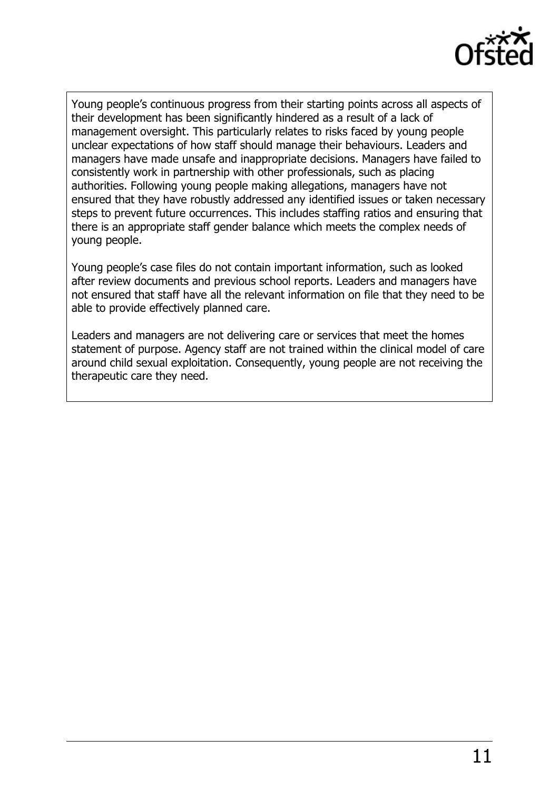

Young people's continuous progress from their starting points across all aspects of their development has been significantly hindered as a result of a lack of management oversight. This particularly relates to risks faced by young people unclear expectations of how staff should manage their behaviours. Leaders and managers have made unsafe and inappropriate decisions. Managers have failed to consistently work in partnership with other professionals, such as placing authorities. Following young people making allegations, managers have not ensured that they have robustly addressed any identified issues or taken necessary steps to prevent future occurrences. This includes staffing ratios and ensuring that there is an appropriate staff gender balance which meets the complex needs of young people.

Young people's case files do not contain important information, such as looked after review documents and previous school reports. Leaders and managers have not ensured that staff have all the relevant information on file that they need to be able to provide effectively planned care.

Leaders and managers are not delivering care or services that meet the homes statement of purpose. Agency staff are not trained within the clinical model of care around child sexual exploitation. Consequently, young people are not receiving the therapeutic care they need.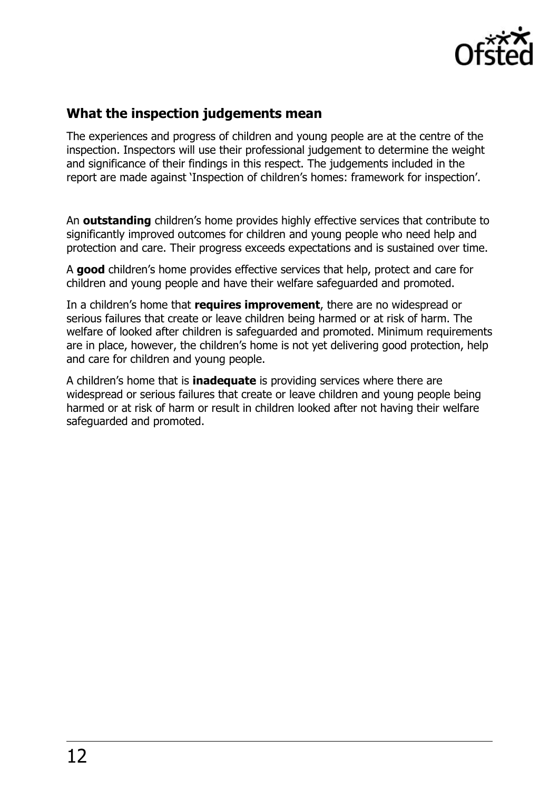

### **What the inspection judgements mean**

The experiences and progress of children and young people are at the centre of the inspection. Inspectors will use their professional judgement to determine the weight and significance of their findings in this respect. The judgements included in the report are made against 'Inspection of children's homes: framework for inspection'.

An **outstanding** children's home provides highly effective services that contribute to significantly improved outcomes for children and young people who need help and protection and care. Their progress exceeds expectations and is sustained over time.

A **good** children's home provides effective services that help, protect and care for children and young people and have their welfare safeguarded and promoted.

In a children's home that **requires improvement**, there are no widespread or serious failures that create or leave children being harmed or at risk of harm. The welfare of looked after children is safeguarded and promoted. Minimum requirements are in place, however, the children's home is not yet delivering good protection, help and care for children and young people.

A children's home that is **inadequate** is providing services where there are widespread or serious failures that create or leave children and young people being harmed or at risk of harm or result in children looked after not having their welfare safeguarded and promoted.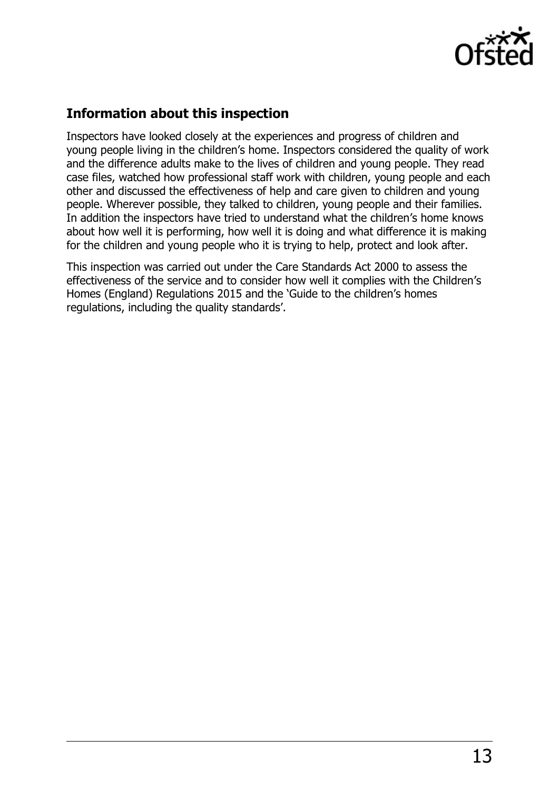

# **Information about this inspection**

Inspectors have looked closely at the experiences and progress of children and young people living in the children's home. Inspectors considered the quality of work and the difference adults make to the lives of children and young people. They read case files, watched how professional staff work with children, young people and each other and discussed the effectiveness of help and care given to children and young people. Wherever possible, they talked to children, young people and their families. In addition the inspectors have tried to understand what the children's home knows about how well it is performing, how well it is doing and what difference it is making for the children and young people who it is trying to help, protect and look after.

This inspection was carried out under the Care Standards Act 2000 to assess the effectiveness of the service and to consider how well it complies with the Children's Homes (England) Regulations 2015 and the 'Guide to the children's homes regulations, including the quality standards'.